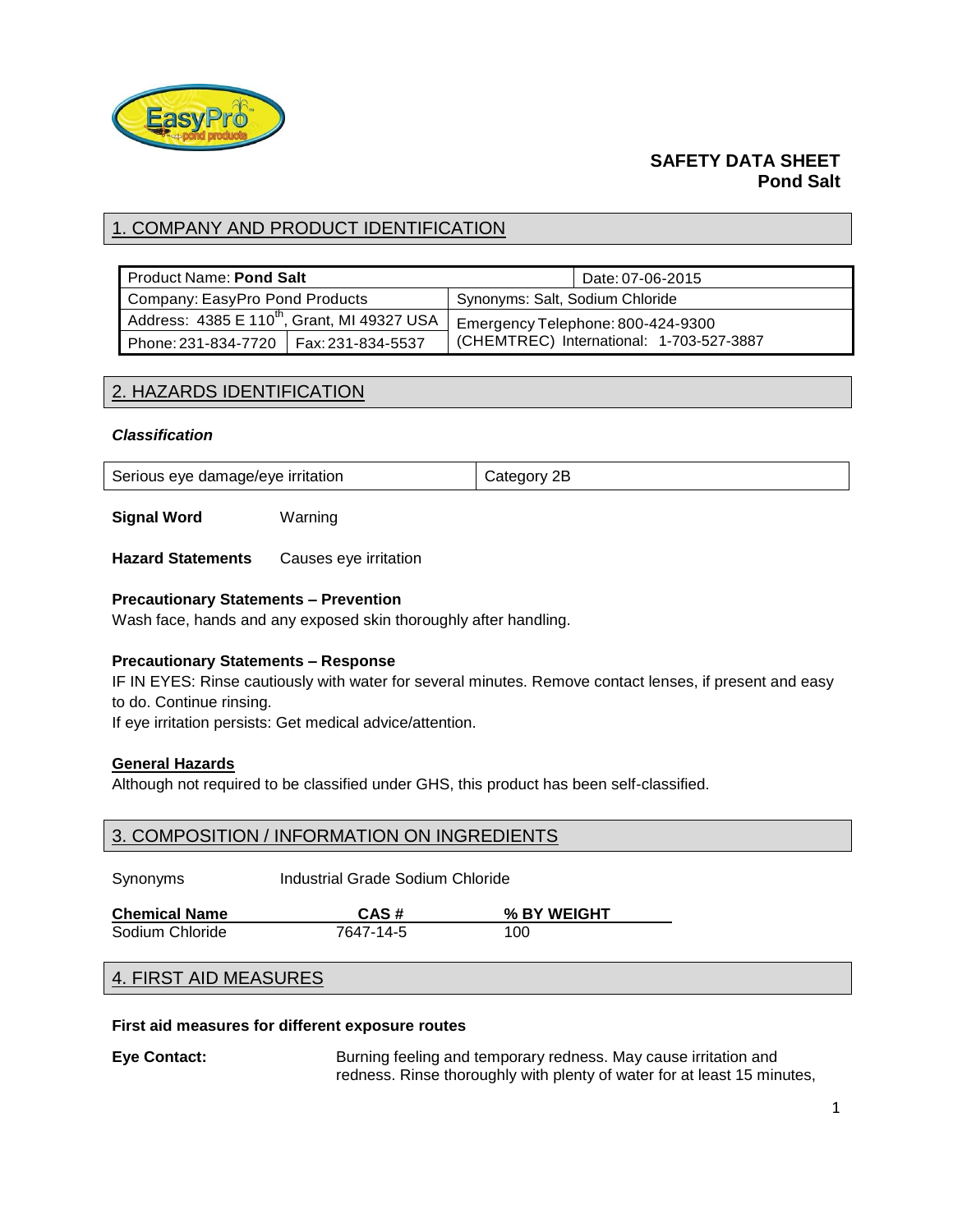

## **SAFETY DATA SHEET Pond Salt**

## 1. COMPANY AND PRODUCT IDENTIFICATION

| <b>Product Name: Pond Salt</b>                          | Date: 07-06-2015                         |  |
|---------------------------------------------------------|------------------------------------------|--|
| Company: EasyPro Pond Products                          | Synonyms: Salt, Sodium Chloride          |  |
| Address: 4385 E 110 <sup>th</sup> , Grant, MI 49327 USA | Emergency Telephone: 800-424-9300        |  |
| Phone: 231-834-7720   Fax: 231-834-5537                 | (CHEMTREC) International: 1-703-527-3887 |  |

## 2. HAZARDS IDENTIFICATION

### *Classification*

**Signal Word** Warning

**Hazard Statements** Causes eye irritation

## **Precautionary Statements – Prevention**

Wash face, hands and any exposed skin thoroughly after handling.

## **Precautionary Statements – Response**

IF IN EYES: Rinse cautiously with water for several minutes. Remove contact lenses, if present and easy to do. Continue rinsing.

If eye irritation persists: Get medical advice/attention.

## **General Hazards**

Although not required to be classified under GHS, this product has been self-classified.

|  | 3. COMPOSITION / INFORMATION ON INGREDIENTS |  |  |  |  |
|--|---------------------------------------------|--|--|--|--|
|--|---------------------------------------------|--|--|--|--|

| Synonyms             | Industrial Grade Sodium Chloride |             |  |  |
|----------------------|----------------------------------|-------------|--|--|
| <b>Chemical Name</b> | CAS#                             | % BY WEIGHT |  |  |
| Sodium Chloride      | 7647-14-5                        | 100         |  |  |

## 4. FIRST AID MEASURES

## **First aid measures for different exposure routes**

**Eye Contact:** Burning feeling and temporary redness. May cause irritation and redness. Rinse thoroughly with plenty of water for at least 15 minutes,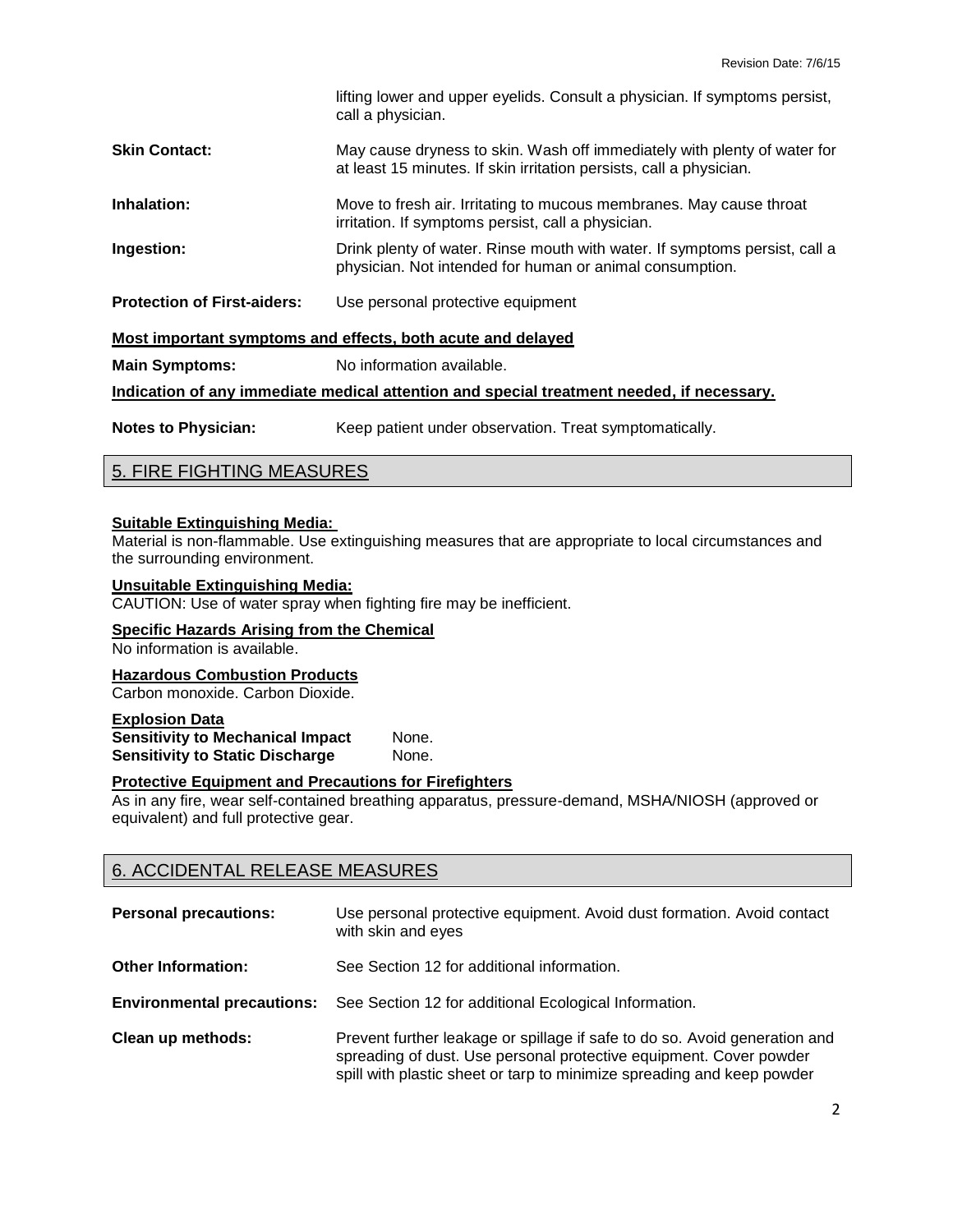|                                                                                           | lifting lower and upper eyelids. Consult a physician. If symptoms persist,<br>call a physician.                                                 |  |  |  |
|-------------------------------------------------------------------------------------------|-------------------------------------------------------------------------------------------------------------------------------------------------|--|--|--|
| <b>Skin Contact:</b>                                                                      | May cause dryness to skin. Wash off immediately with plenty of water for<br>at least 15 minutes. If skin irritation persists, call a physician. |  |  |  |
| Inhalation:                                                                               | Move to fresh air. Irritating to mucous membranes. May cause throat<br>irritation. If symptoms persist, call a physician.                       |  |  |  |
| Ingestion:                                                                                | Drink plenty of water. Rinse mouth with water. If symptoms persist, call a<br>physician. Not intended for human or animal consumption.          |  |  |  |
| <b>Protection of First-aiders:</b>                                                        | Use personal protective equipment                                                                                                               |  |  |  |
| Most important symptoms and effects, both acute and delayed                               |                                                                                                                                                 |  |  |  |
| <b>Main Symptoms:</b>                                                                     | No information available.                                                                                                                       |  |  |  |
| Indication of any immediate medical attention and special treatment needed, if necessary. |                                                                                                                                                 |  |  |  |
| <b>Notes to Physician:</b>                                                                | Keep patient under observation. Treat symptomatically.                                                                                          |  |  |  |

## 5. FIRE FIGHTING MEASURES

### **Suitable Extinguishing Media:**

Material is non-flammable. Use extinguishing measures that are appropriate to local circumstances and the surrounding environment.

#### **Unsuitable Extinguishing Media:**

CAUTION: Use of water spray when fighting fire may be inefficient.

#### **Specific Hazards Arising from the Chemical**

No information is available.

#### **Hazardous Combustion Products**

Carbon monoxide. Carbon Dioxide.

### **Explosion Data**

**Sensitivity to Mechanical Impact** None. **Sensitivity to Static Discharge Mone.** 

### **Protective Equipment and Precautions for Firefighters**

As in any fire, wear self-contained breathing apparatus, pressure-demand, MSHA/NIOSH (approved or equivalent) and full protective gear.

## 6. ACCIDENTAL RELEASE MEASURES

| <b>Personal precautions:</b>      | Use personal protective equipment. Avoid dust formation. Avoid contact<br>with skin and eyes                                                                                                                               |  |  |
|-----------------------------------|----------------------------------------------------------------------------------------------------------------------------------------------------------------------------------------------------------------------------|--|--|
| <b>Other Information:</b>         | See Section 12 for additional information.                                                                                                                                                                                 |  |  |
| <b>Environmental precautions:</b> | See Section 12 for additional Ecological Information.                                                                                                                                                                      |  |  |
| Clean up methods:                 | Prevent further leakage or spillage if safe to do so. Avoid generation and<br>spreading of dust. Use personal protective equipment. Cover powder<br>spill with plastic sheet or tarp to minimize spreading and keep powder |  |  |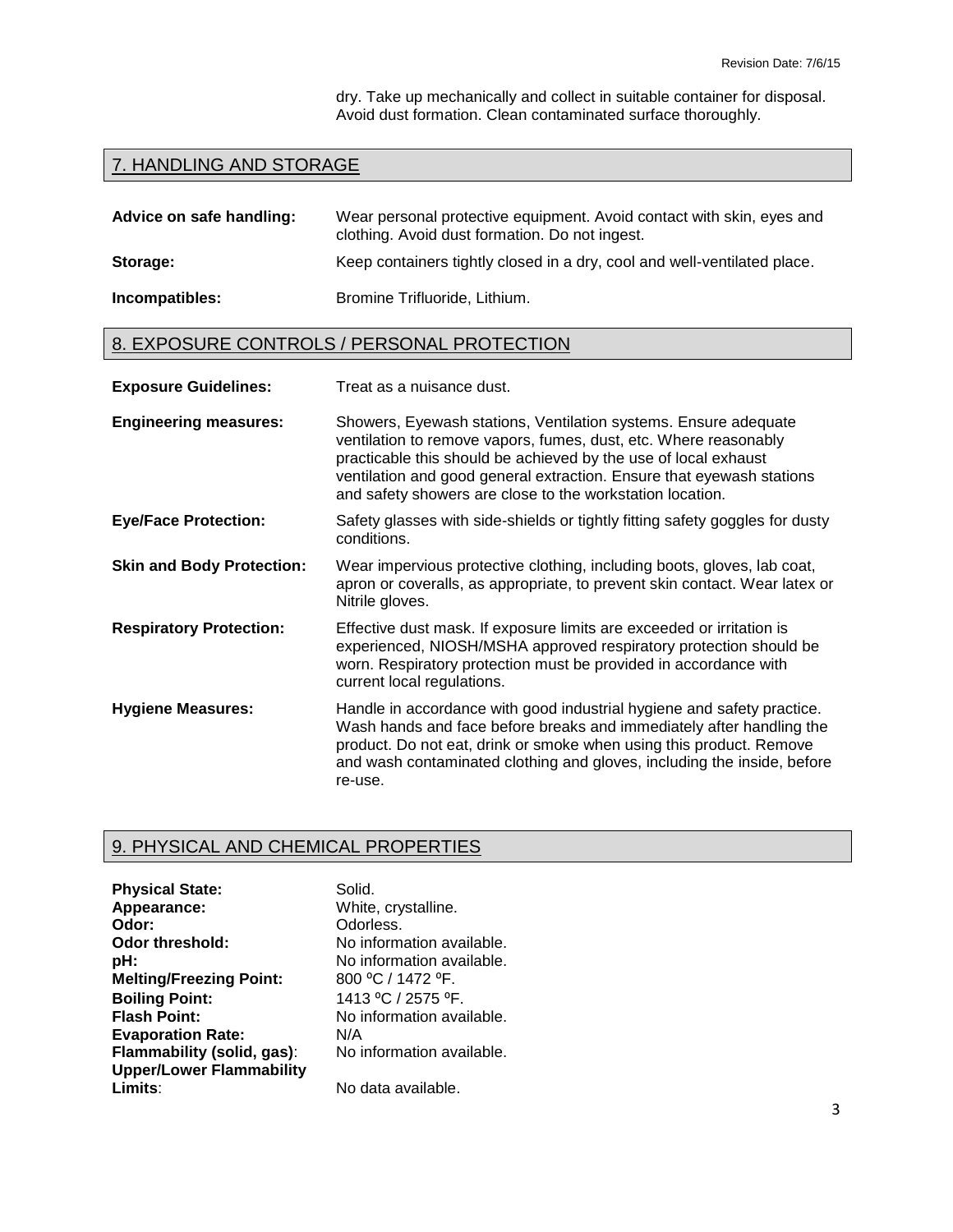dry. Take up mechanically and collect in suitable container for disposal. Avoid dust formation. Clean contaminated surface thoroughly.

# 7. HANDLING AND STORAGE

| Advice on safe handling: | Wear personal protective equipment. Avoid contact with skin, eyes and<br>clothing. Avoid dust formation. Do not ingest. |
|--------------------------|-------------------------------------------------------------------------------------------------------------------------|
| Storage:                 | Keep containers tightly closed in a dry, cool and well-ventilated place.                                                |
| Incompatibles:           | Bromine Trifluoride, Lithium.                                                                                           |

# 8. EXPOSURE CONTROLS / PERSONAL PROTECTION

| <b>Exposure Guidelines:</b>      | Treat as a nuisance dust.                                                                                                                                                                                                                                                                                                                    |  |
|----------------------------------|----------------------------------------------------------------------------------------------------------------------------------------------------------------------------------------------------------------------------------------------------------------------------------------------------------------------------------------------|--|
| <b>Engineering measures:</b>     | Showers, Eyewash stations, Ventilation systems. Ensure adequate<br>ventilation to remove vapors, fumes, dust, etc. Where reasonably<br>practicable this should be achieved by the use of local exhaust<br>ventilation and good general extraction. Ensure that eyewash stations<br>and safety showers are close to the workstation location. |  |
| <b>Eye/Face Protection:</b>      | Safety glasses with side-shields or tightly fitting safety goggles for dusty<br>conditions.                                                                                                                                                                                                                                                  |  |
| <b>Skin and Body Protection:</b> | Wear impervious protective clothing, including boots, gloves, lab coat,<br>apron or coveralls, as appropriate, to prevent skin contact. Wear latex or<br>Nitrile gloves.                                                                                                                                                                     |  |
| <b>Respiratory Protection:</b>   | Effective dust mask. If exposure limits are exceeded or irritation is<br>experienced, NIOSH/MSHA approved respiratory protection should be<br>worn. Respiratory protection must be provided in accordance with<br>current local regulations.                                                                                                 |  |
| <b>Hygiene Measures:</b>         | Handle in accordance with good industrial hygiene and safety practice.<br>Wash hands and face before breaks and immediately after handling the<br>product. Do not eat, drink or smoke when using this product. Remove<br>and wash contaminated clothing and gloves, including the inside, before<br>re-use.                                  |  |

# 9. PHYSICAL AND CHEMICAL PROPERTIES

| <b>Physical State:</b>          | Solid.                    |
|---------------------------------|---------------------------|
| Appearance:                     | White, crystalline.       |
| Odor:                           | Odorless.                 |
| Odor threshold:                 | No information available. |
| pH:                             | No information available. |
| <b>Melting/Freezing Point:</b>  | 800 °C / 1472 °F.         |
| <b>Boiling Point:</b>           | 1413 °C / 2575 °F.        |
| <b>Flash Point:</b>             | No information available. |
| <b>Evaporation Rate:</b>        | N/A                       |
| Flammability (solid, gas):      | No information available. |
| <b>Upper/Lower Flammability</b> |                           |
| Limits:                         | No data available.        |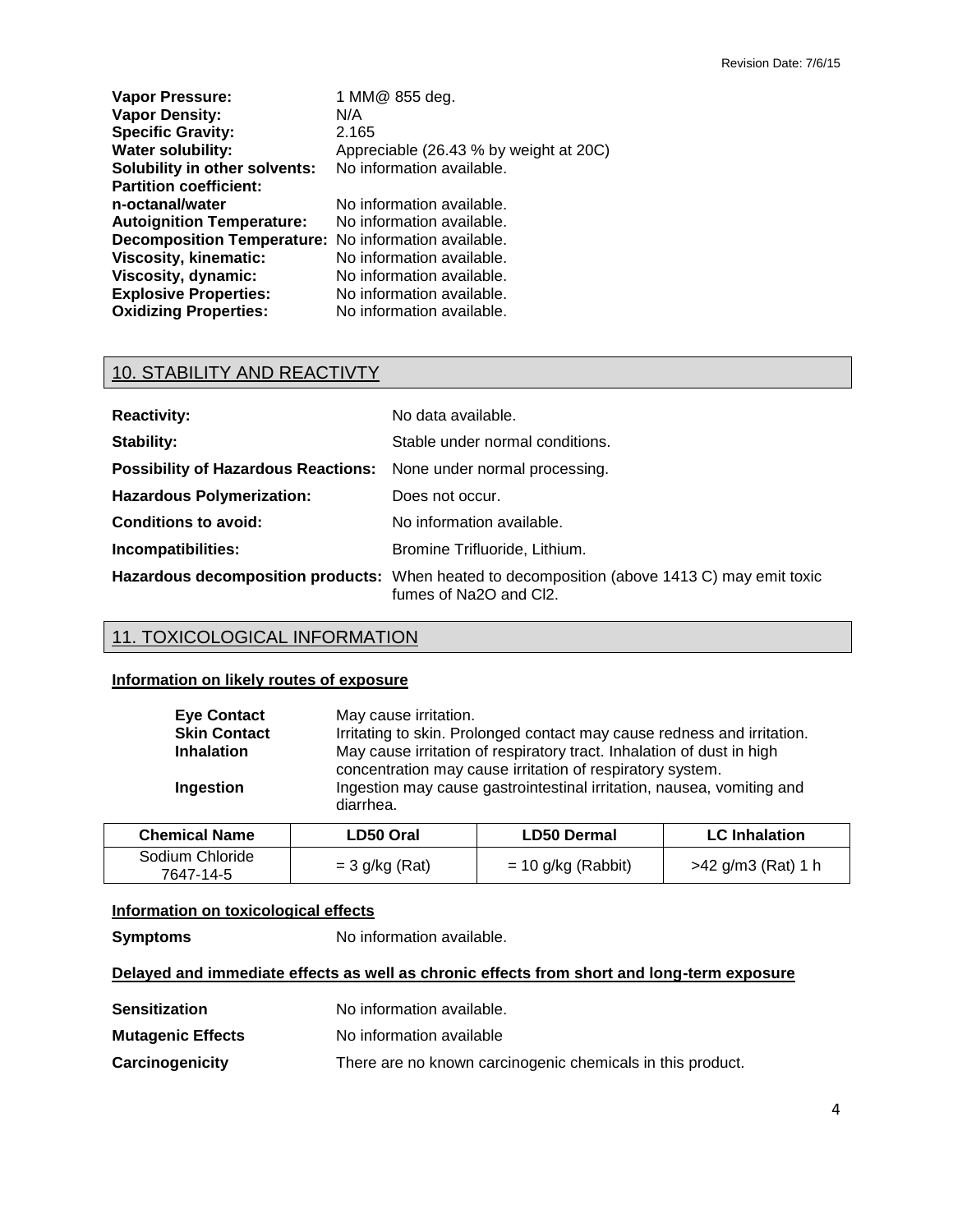| Vapor Pressure:                                      | 1 MM@ 855 deg.                         |
|------------------------------------------------------|----------------------------------------|
| <b>Vapor Density:</b>                                | N/A                                    |
| <b>Specific Gravity:</b>                             | 2.165                                  |
| <b>Water solubility:</b>                             | Appreciable (26.43 % by weight at 20C) |
| Solubility in other solvents:                        | No information available.              |
| <b>Partition coefficient:</b>                        |                                        |
| n-octanal/water                                      | No information available.              |
| <b>Autoignition Temperature:</b>                     | No information available.              |
| Decomposition Temperature: No information available. |                                        |
| <b>Viscosity, kinematic:</b>                         | No information available.              |
| Viscosity, dynamic:                                  | No information available.              |
| <b>Explosive Properties:</b>                         | No information available.              |
| <b>Oxidizing Properties:</b>                         | No information available.              |

# 10. STABILITY AND REACTIVTY

| <b>Reactivity:</b>                                                       | No data available.                                                                                                     |  |
|--------------------------------------------------------------------------|------------------------------------------------------------------------------------------------------------------------|--|
| Stability:                                                               | Stable under normal conditions.                                                                                        |  |
| <b>Possibility of Hazardous Reactions:</b> None under normal processing. |                                                                                                                        |  |
| <b>Hazardous Polymerization:</b>                                         | Does not occur.                                                                                                        |  |
| <b>Conditions to avoid:</b>                                              | No information available.                                                                                              |  |
| Incompatibilities:                                                       | Bromine Trifluoride, Lithium.                                                                                          |  |
|                                                                          | Hazardous decomposition products: When heated to decomposition (above 1413 C) may emit toxic<br>fumes of Na2O and CI2. |  |

## 11. TOXICOLOGICAL INFORMATION

### **Information on likely routes of exposure**

| <b>Eye Contact</b><br><b>Skin Contact</b><br><b>Inhalation</b><br>Ingestion | May cause irritation.<br>diarrhea. | Irritating to skin. Prolonged contact may cause redness and irritation.<br>May cause irritation of respiratory tract. Inhalation of dust in high<br>concentration may cause irritation of respiratory system.<br>Ingestion may cause gastrointestinal irritation, nausea, vomiting and |   |
|-----------------------------------------------------------------------------|------------------------------------|----------------------------------------------------------------------------------------------------------------------------------------------------------------------------------------------------------------------------------------------------------------------------------------|---|
|                                                                             | -----                              |                                                                                                                                                                                                                                                                                        | . |

| <b>Chemical Name</b>         | LD50 Oral        | <b>LD50 Dermal</b> | <b>LC</b> Inhalation |
|------------------------------|------------------|--------------------|----------------------|
| Sodium Chloride<br>7647-14-5 | $=$ 3 g/kg (Rat) | = 10 g/kg (Rabbit) | $>42$ g/m3 (Rat) 1 h |

## **Information on toxicological effects**

**Symptoms** No information available.

## **Delayed and immediate effects as well as chronic effects from short and long-term exposure**

| <b>Sensitization</b>     | No information available.                                  |
|--------------------------|------------------------------------------------------------|
| <b>Mutagenic Effects</b> | No information available                                   |
| Carcinogenicity          | There are no known carcinogenic chemicals in this product. |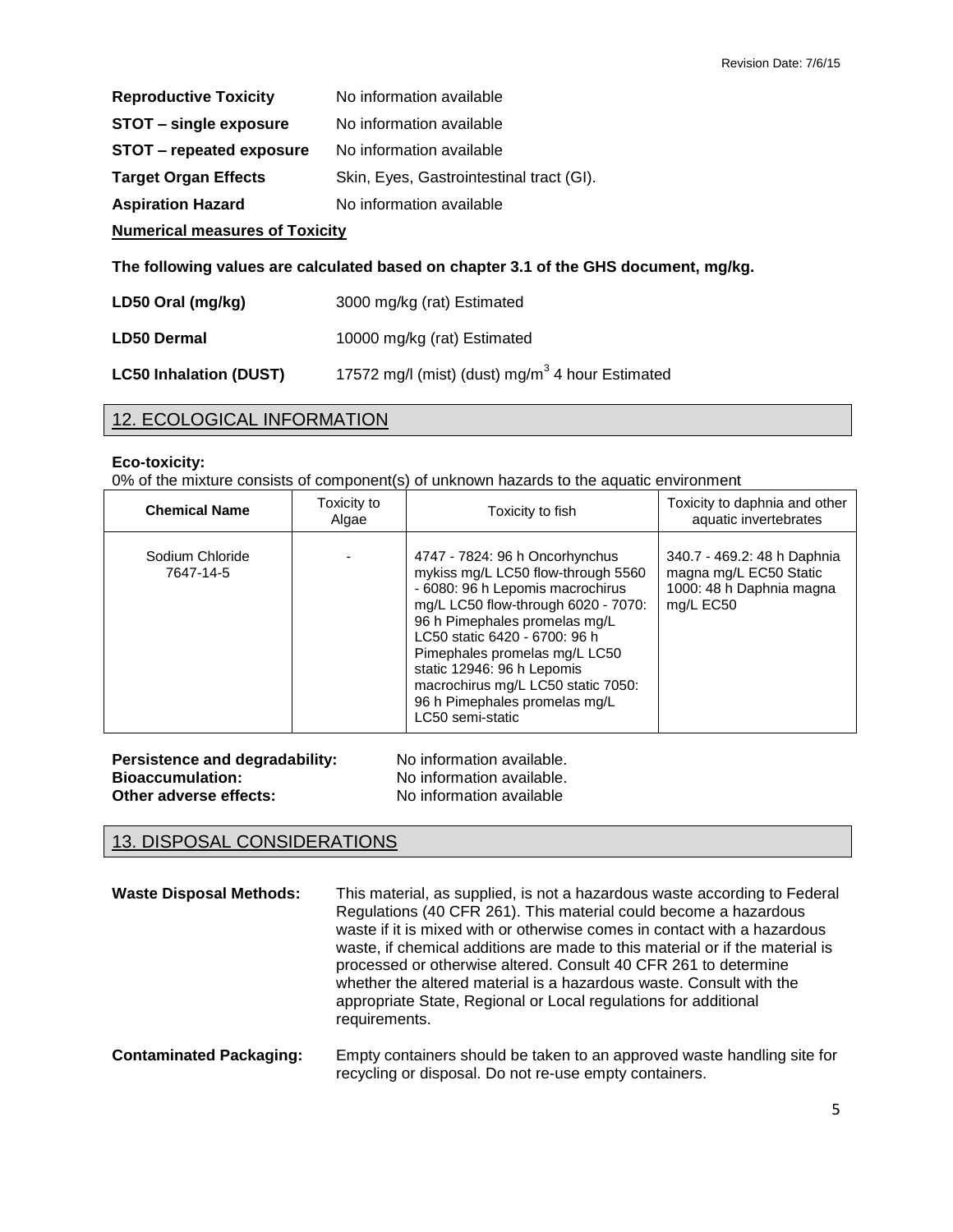| <b>Reproductive Toxicity</b>   | No information available                 |
|--------------------------------|------------------------------------------|
| STOT – single exposure         | No information available                 |
| STOT – repeated exposure       | No information available                 |
| <b>Target Organ Effects</b>    | Skin, Eyes, Gastrointestinal tract (GI). |
| <b>Aspiration Hazard</b>       | No information available                 |
| Numerical mecanica of Taylelfy |                                          |

**Numerical measures of Toxicity**

**The following values are calculated based on chapter 3.1 of the GHS document, mg/kg.**

| LD50 Oral (mg/kg)<br>3000 mg/kg (rat) Estimated |
|-------------------------------------------------|
|                                                 |

**LD50 Dermal** 10000 mg/kg (rat) Estimated

LC50 Inhalation (DUST) 17572 mg/l (mist) (dust) mg/m<sup>3</sup> 4 hour Estimated

## 12. ECOLOGICAL INFORMATION

### **Eco-toxicity:**

0% of the mixture consists of component(s) of unknown hazards to the aquatic environment

| <b>Chemical Name</b>         | Toxicity to<br>Algae | Toxicity to fish                                                                                                                                                                                                                                                                                                                                                            | Toxicity to daphnia and other<br>aquatic invertebrates                                         |
|------------------------------|----------------------|-----------------------------------------------------------------------------------------------------------------------------------------------------------------------------------------------------------------------------------------------------------------------------------------------------------------------------------------------------------------------------|------------------------------------------------------------------------------------------------|
| Sodium Chloride<br>7647-14-5 |                      | 4747 - 7824: 96 h Oncorhynchus<br>mykiss mg/L LC50 flow-through 5560<br>- 6080: 96 h Lepomis macrochirus<br>mg/L LC50 flow-through 6020 - 7070:<br>96 h Pimephales promelas mg/L<br>LC50 static 6420 - 6700: 96 h<br>Pimephales promelas mg/L LC50<br>static 12946: 96 h Lepomis<br>macrochirus mg/L LC50 static 7050:<br>96 h Pimephales promelas mg/L<br>LC50 semi-static | 340.7 - 469.2: 48 h Daphnia<br>magna mg/L EC50 Static<br>1000: 48 h Daphnia magna<br>mg/L EC50 |

| Persistence and degradability: | No information available. |
|--------------------------------|---------------------------|
| <b>Bioaccumulation:</b>        | No information available. |
| Other adverse effects:         | No information available  |

## 13. DISPOSAL CONSIDERATIONS

| <b>Waste Disposal Methods:</b> | This material, as supplied, is not a hazardous waste according to Federal<br>Regulations (40 CFR 261). This material could become a hazardous<br>waste if it is mixed with or otherwise comes in contact with a hazardous<br>waste, if chemical additions are made to this material or if the material is<br>processed or otherwise altered. Consult 40 CFR 261 to determine<br>whether the altered material is a hazardous waste. Consult with the<br>appropriate State, Regional or Local regulations for additional<br>requirements. |
|--------------------------------|-----------------------------------------------------------------------------------------------------------------------------------------------------------------------------------------------------------------------------------------------------------------------------------------------------------------------------------------------------------------------------------------------------------------------------------------------------------------------------------------------------------------------------------------|
| <b>Contaminated Packaging:</b> | Empty containers should be taken to an approved waste handling site for<br>recycling or disposal. Do not re-use empty containers.                                                                                                                                                                                                                                                                                                                                                                                                       |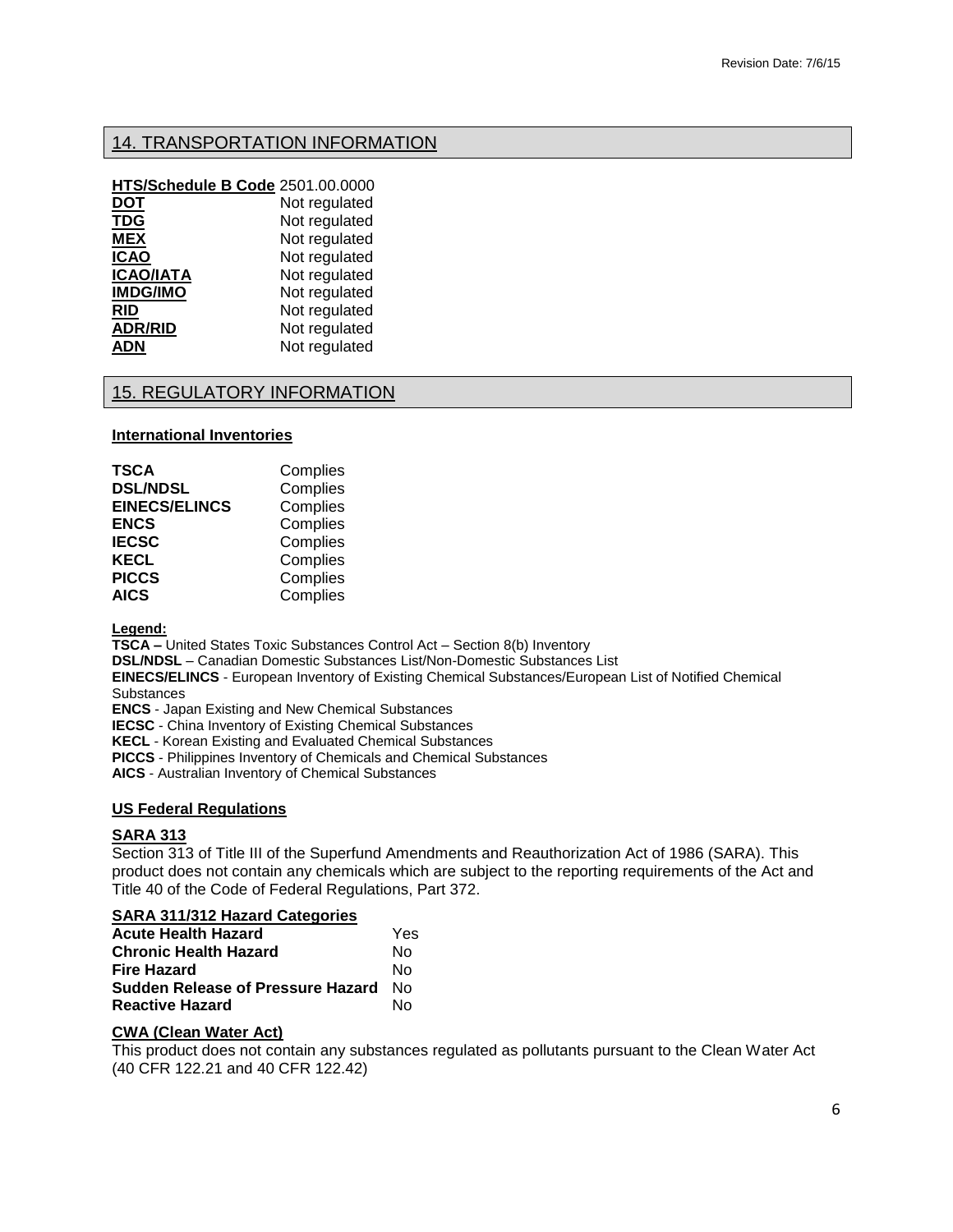## 14. TRANSPORTATION INFORMATION

| HTS/Schedule B Code 2501.00.0000 |
|----------------------------------|
| Not regulated                    |
| Not regulated                    |
| Not regulated                    |
| Not regulated                    |
| Not regulated                    |
| Not regulated                    |
| Not regulated                    |
| Not regulated                    |
| Not regulated                    |
|                                  |

## 15. REGULATORY INFORMATION

#### **International Inventories**

| <b>TSCA</b>          | Complies |
|----------------------|----------|
| <b>DSL/NDSL</b>      | Complies |
| <b>EINECS/ELINCS</b> | Complies |
| <b>ENCS</b>          | Complies |
| <b>IECSC</b>         | Complies |
| <b>KECL</b>          | Complies |
| <b>PICCS</b>         | Complies |
| <b>AICS</b>          | Complies |

#### **Legend:**

**TSCA –** United States Toxic Substances Control Act – Section 8(b) Inventory

**DSL/NDSL** – Canadian Domestic Substances List/Non-Domestic Substances List

**EINECS/ELINCS** - European Inventory of Existing Chemical Substances/European List of Notified Chemical **Substances** 

**ENCS** - Japan Existing and New Chemical Substances

**IECSC** - China Inventory of Existing Chemical Substances

**KECL** - Korean Existing and Evaluated Chemical Substances

**PICCS** - Philippines Inventory of Chemicals and Chemical Substances

**AICS** - Australian Inventory of Chemical Substances

#### **US Federal Regulations**

### **SARA 313**

Section 313 of Title III of the Superfund Amendments and Reauthorization Act of 1986 (SARA). This product does not contain any chemicals which are subject to the reporting requirements of the Act and Title 40 of the Code of Federal Regulations, Part 372.

### **SARA 311/312 Hazard Categories**

| <b>Acute Health Hazard</b>        | Yes |
|-----------------------------------|-----|
| <b>Chronic Health Hazard</b>      | N٥  |
| <b>Fire Hazard</b>                | N٥  |
| Sudden Release of Pressure Hazard | N∩  |
| <b>Reactive Hazard</b>            | N٥  |

## **CWA (Clean Water Act)**

This product does not contain any substances regulated as pollutants pursuant to the Clean Water Act (40 CFR 122.21 and 40 CFR 122.42)